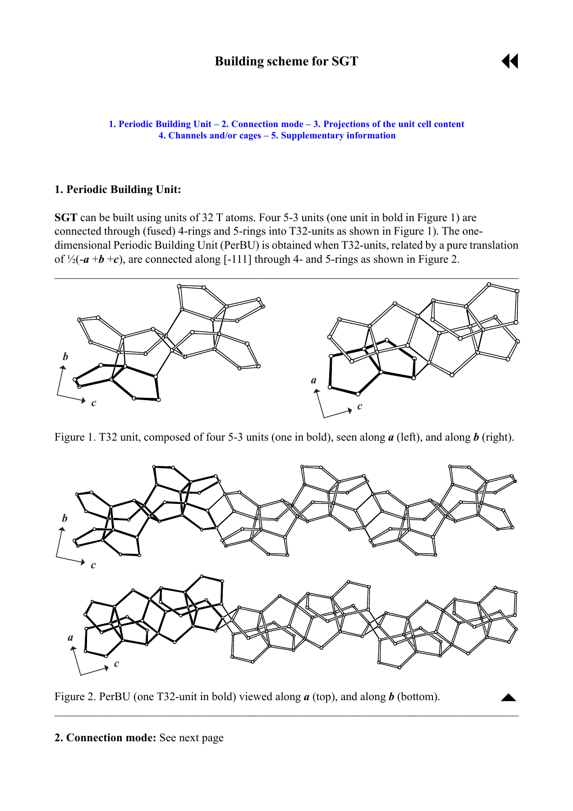

 $\blacktriangle$ 

<span id="page-0-0"></span>**1. Periodic Building Unit – [2. Connection mode](#page-1-0) – [3. Projections of the unit cell](#page-1-0) content [4. Channels and/or cages](#page-2-0) ñ [5. Supplementary information](#page-2-0)**

### **1. Periodic Building Unit:**

**SGT** can be built using units of 32 T atoms. Four 5-3 units (one unit in bold in Figure 1) are connected through (fused) 4-rings and 5-rings into T32-units as shown in Figure 1). The onedimensional Periodic Building Unit (PerBU) is obtained when T32-units, related by a pure translation of  $\frac{1}{2}(-a + b + c)$ , are connected along [-111] through 4- and 5-rings as shown in Figure 2.



Figure 1. T32 unit, composed of four 5-3 units (one in bold), seen along *a* (left), and along *b* (right).



 $\mathcal{L}_\mathcal{L} = \{ \mathcal{L}_\mathcal{L} = \{ \mathcal{L}_\mathcal{L} = \{ \mathcal{L}_\mathcal{L} = \{ \mathcal{L}_\mathcal{L} = \{ \mathcal{L}_\mathcal{L} = \{ \mathcal{L}_\mathcal{L} = \{ \mathcal{L}_\mathcal{L} = \{ \mathcal{L}_\mathcal{L} = \{ \mathcal{L}_\mathcal{L} = \{ \mathcal{L}_\mathcal{L} = \{ \mathcal{L}_\mathcal{L} = \{ \mathcal{L}_\mathcal{L} = \{ \mathcal{L}_\mathcal{L} = \{ \mathcal{L}_\mathcal{$ 

Figure 2. PerBU (one T32-unit in bold) viewed along *a* (top), and along *b* (bottom).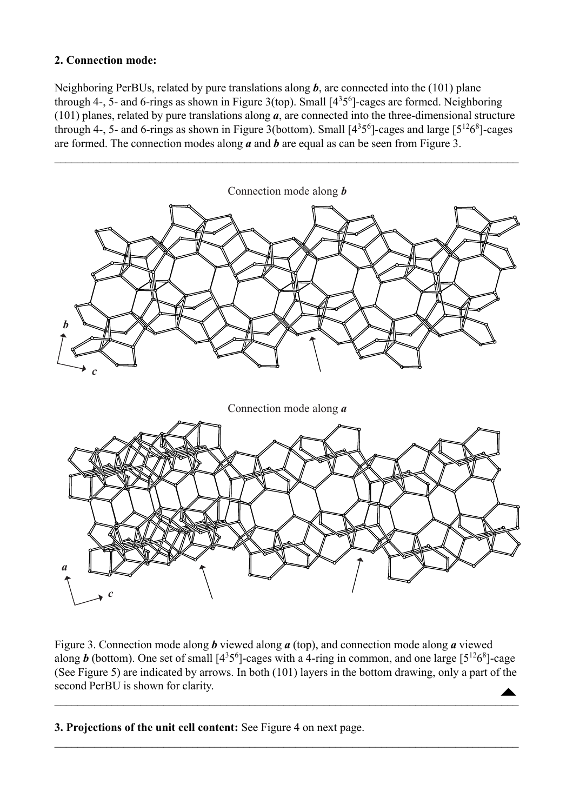## <span id="page-1-0"></span>**2. Connection mode:**

Neighboring PerBUs, related by pure translations along *b*, are connected into the (101) plane through 4-, 5- and 6-rings as shown in Figure 3(top). Small  $[4<sup>356</sup>]$ -cages are formed. Neighboring (101) planes, related by pure translations along *a*, are connected into the three-dimensional structure through 4-, 5- and 6-rings as shown in Figure 3(bottom). Small  $[4^35^6]$ -cages and large  $[5^{12}6^8]$ -cages are formed. The connection modes along  $\overline{a}$  and  $\overline{b}$  are equal as can be seen from Figure 3.



 $\blacktriangle$ Figure 3. Connection mode along *b* viewed along *a* (top), and connection mode along *a* viewed along *b* (bottom). One set of small  $[4^35^6]$ -cages with a 4-ring in common, and one large  $[5^{12}6^8]$ -cage (See Figure 5) are indicated by arrows. In both (101) layers in the bottom drawing, only a part of the second PerBU is shown for clarity.

 $\mathcal{L}_\mathcal{L} = \mathcal{L}_\mathcal{L} = \mathcal{L}_\mathcal{L} = \mathcal{L}_\mathcal{L} = \mathcal{L}_\mathcal{L} = \mathcal{L}_\mathcal{L} = \mathcal{L}_\mathcal{L} = \mathcal{L}_\mathcal{L} = \mathcal{L}_\mathcal{L} = \mathcal{L}_\mathcal{L} = \mathcal{L}_\mathcal{L} = \mathcal{L}_\mathcal{L} = \mathcal{L}_\mathcal{L} = \mathcal{L}_\mathcal{L} = \mathcal{L}_\mathcal{L} = \mathcal{L}_\mathcal{L} = \mathcal{L}_\mathcal{L}$ 

 $\mathcal{L}_\mathcal{L} = \{ \mathcal{L}_\mathcal{L} = \{ \mathcal{L}_\mathcal{L} = \{ \mathcal{L}_\mathcal{L} = \{ \mathcal{L}_\mathcal{L} = \{ \mathcal{L}_\mathcal{L} = \{ \mathcal{L}_\mathcal{L} = \{ \mathcal{L}_\mathcal{L} = \{ \mathcal{L}_\mathcal{L} = \{ \mathcal{L}_\mathcal{L} = \{ \mathcal{L}_\mathcal{L} = \{ \mathcal{L}_\mathcal{L} = \{ \mathcal{L}_\mathcal{L} = \{ \mathcal{L}_\mathcal{L} = \{ \mathcal{L}_\mathcal{$ 

**3. Projections of the unit cell content:** See Figure 4 on next page.